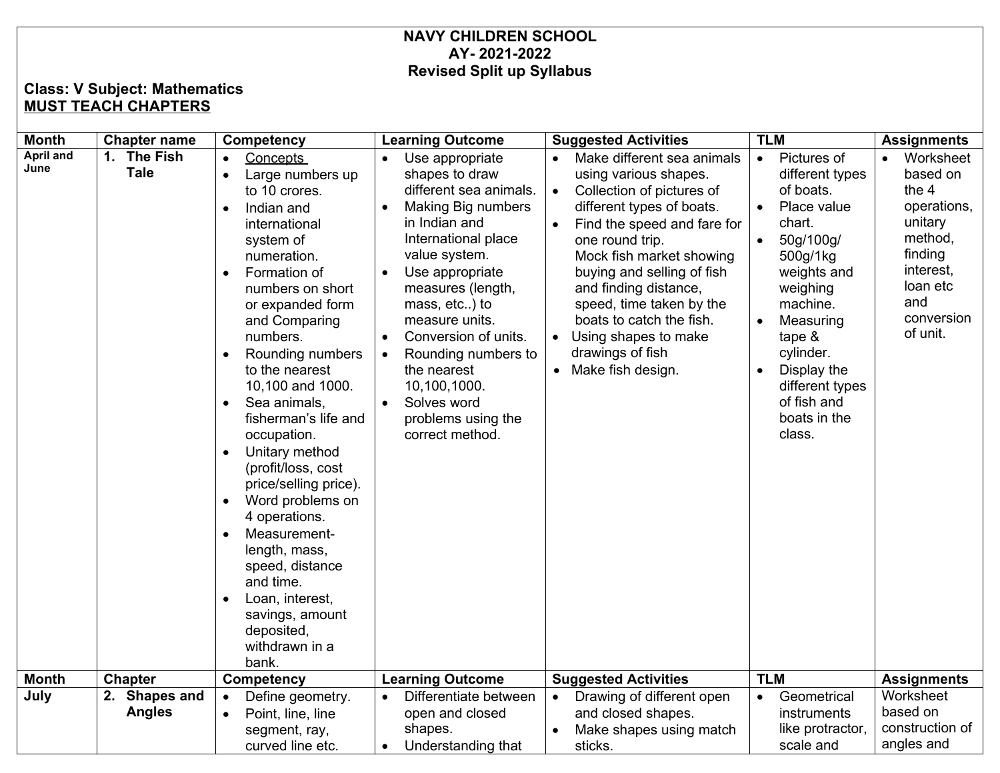## **NAVY CHILDREN SCHOOL AY- 2021-2022 Revised Split up Syllabus**

## **Class: V Subject: Mathematics MUST TEACH CHAPTERS**

| <b>Month</b>             | <b>Chapter name</b>            | Competency                                                                                                                                                                                                                                                                                                                                                                                                                                                                                                                                                                                                                                                | <b>Learning Outcome</b>                                                                                                                                                                                                                                                                                                                                                                                                      | <b>Suggested Activities</b>                                                                                                                                                                                                                                                                                                                                                 | <b>TLM</b>                                                                                                                                                                                                                                                                                   | <b>Assignments</b>                                                                                                                                    |
|--------------------------|--------------------------------|-----------------------------------------------------------------------------------------------------------------------------------------------------------------------------------------------------------------------------------------------------------------------------------------------------------------------------------------------------------------------------------------------------------------------------------------------------------------------------------------------------------------------------------------------------------------------------------------------------------------------------------------------------------|------------------------------------------------------------------------------------------------------------------------------------------------------------------------------------------------------------------------------------------------------------------------------------------------------------------------------------------------------------------------------------------------------------------------------|-----------------------------------------------------------------------------------------------------------------------------------------------------------------------------------------------------------------------------------------------------------------------------------------------------------------------------------------------------------------------------|----------------------------------------------------------------------------------------------------------------------------------------------------------------------------------------------------------------------------------------------------------------------------------------------|-------------------------------------------------------------------------------------------------------------------------------------------------------|
| <b>April and</b><br>June | 1. The Fish<br><b>Tale</b>     | <b>Concepts</b><br>Large numbers up<br>to 10 crores.<br>Indian and<br>$\bullet$<br>international<br>system of<br>numeration.<br>Formation of<br>$\bullet$<br>numbers on short<br>or expanded form<br>and Comparing<br>numbers.<br>Rounding numbers<br>to the nearest<br>10,100 and 1000.<br>Sea animals,<br>$\bullet$<br>fisherman's life and<br>occupation.<br>Unitary method<br>$\bullet$<br>(profit/loss, cost<br>price/selling price).<br>Word problems on<br>$\bullet$<br>4 operations.<br>Measurement-<br>$\bullet$<br>length, mass,<br>speed, distance<br>and time.<br>Loan, interest,<br>savings, amount<br>deposited,<br>withdrawn in a<br>bank. | Use appropriate<br>shapes to draw<br>different sea animals.<br>Making Big numbers<br>$\bullet$<br>in Indian and<br>International place<br>value system.<br>Use appropriate<br>$\bullet$<br>measures (length,<br>mass, etc) to<br>measure units.<br>Conversion of units.<br>$\bullet$<br>Rounding numbers to<br>$\bullet$<br>the nearest<br>10,100,1000.<br>Solves word<br>$\bullet$<br>problems using the<br>correct method. | Make different sea animals<br>using various shapes.<br>Collection of pictures of<br>different types of boats.<br>Find the speed and fare for<br>one round trip.<br>Mock fish market showing<br>buying and selling of fish<br>and finding distance,<br>speed, time taken by the<br>boats to catch the fish.<br>Using shapes to make<br>drawings of fish<br>Make fish design. | Pictures of<br>$\bullet$<br>different types<br>of boats.<br>Place value<br>chart.<br>50g/100g/<br>500g/1kg<br>weights and<br>weighing<br>machine.<br>Measuring<br>$\bullet$<br>tape $&$<br>cylinder.<br>Display the<br>$\bullet$<br>different types<br>of fish and<br>boats in the<br>class. | Worksheet<br>$\bullet$<br>based on<br>the 4<br>operations,<br>unitary<br>method,<br>finding<br>interest,<br>loan etc<br>and<br>conversion<br>of unit. |
| <b>Month</b>             | <b>Chapter</b>                 | Competency                                                                                                                                                                                                                                                                                                                                                                                                                                                                                                                                                                                                                                                | <b>Learning Outcome</b>                                                                                                                                                                                                                                                                                                                                                                                                      | <b>Suggested Activities</b>                                                                                                                                                                                                                                                                                                                                                 | <b>TLM</b>                                                                                                                                                                                                                                                                                   | <b>Assignments</b>                                                                                                                                    |
| July                     | 2. Shapes and<br><b>Angles</b> | Define geometry.<br>Point, line, line<br>$\bullet$<br>segment, ray,<br>curved line etc.                                                                                                                                                                                                                                                                                                                                                                                                                                                                                                                                                                   | Differentiate between<br>$\bullet$<br>open and closed<br>shapes.<br>Understanding that<br>$\bullet$                                                                                                                                                                                                                                                                                                                          | Drawing of different open<br>$\bullet$<br>and closed shapes.<br>Make shapes using match<br>sticks.                                                                                                                                                                                                                                                                          | Geometrical<br>instruments<br>like protractor,<br>scale and                                                                                                                                                                                                                                  | Worksheet<br>based on<br>construction of<br>angles and                                                                                                |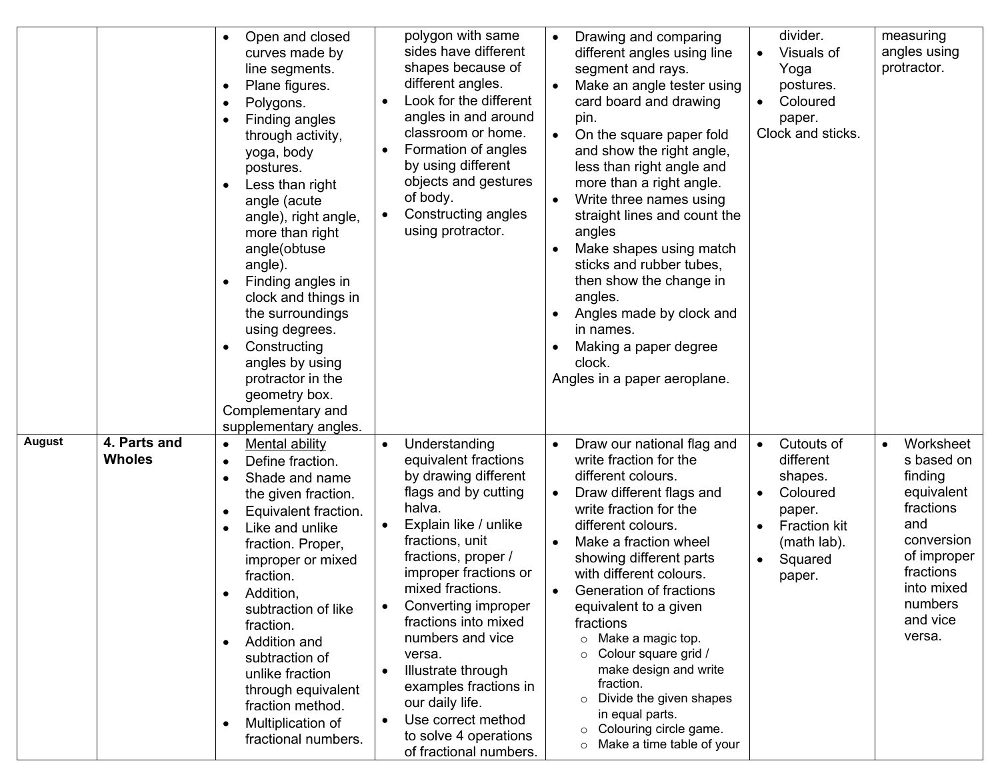|               |                               | Open and closed<br>$\bullet$<br>curves made by<br>line segments.<br>Plane figures.<br>$\bullet$<br>Polygons.<br>Finding angles<br>through activity,<br>yoga, body<br>postures.<br>Less than right<br>$\bullet$<br>angle (acute<br>angle), right angle,<br>more than right<br>angle(obtuse<br>angle).<br>Finding angles in<br>clock and things in<br>the surroundings<br>using degrees.<br>Constructing<br>$\bullet$<br>angles by using<br>protractor in the<br>geometry box.<br>Complementary and<br>supplementary angles. | polygon with same<br>sides have different<br>shapes because of<br>different angles.<br>Look for the different<br>$\bullet$<br>angles in and around<br>classroom or home.<br>Formation of angles<br>$\bullet$<br>by using different<br>objects and gestures<br>of body.<br>Constructing angles<br>$\bullet$<br>using protractor.                                                                                                                                                                          | Drawing and comparing<br>$\bullet$<br>different angles using line<br>segment and rays.<br>Make an angle tester using<br>card board and drawing<br>pin.<br>On the square paper fold<br>and show the right angle,<br>less than right angle and<br>more than a right angle.<br>Write three names using<br>straight lines and count the<br>angles<br>Make shapes using match<br>sticks and rubber tubes,<br>then show the change in<br>angles.<br>Angles made by clock and<br>$\bullet$<br>in names.<br>Making a paper degree<br>clock.<br>Angles in a paper aeroplane.             | divider.<br>Visuals of<br>Yoga<br>postures.<br>Coloured<br>$\bullet$<br>paper.<br>Clock and sticks.                                                                     | measuring<br>angles using<br>protractor.                                                                                                                                   |
|---------------|-------------------------------|----------------------------------------------------------------------------------------------------------------------------------------------------------------------------------------------------------------------------------------------------------------------------------------------------------------------------------------------------------------------------------------------------------------------------------------------------------------------------------------------------------------------------|----------------------------------------------------------------------------------------------------------------------------------------------------------------------------------------------------------------------------------------------------------------------------------------------------------------------------------------------------------------------------------------------------------------------------------------------------------------------------------------------------------|---------------------------------------------------------------------------------------------------------------------------------------------------------------------------------------------------------------------------------------------------------------------------------------------------------------------------------------------------------------------------------------------------------------------------------------------------------------------------------------------------------------------------------------------------------------------------------|-------------------------------------------------------------------------------------------------------------------------------------------------------------------------|----------------------------------------------------------------------------------------------------------------------------------------------------------------------------|
| <b>August</b> | 4. Parts and<br><b>Wholes</b> | <b>Mental ability</b><br>$\bullet$<br>Define fraction.<br>$\bullet$<br>Shade and name<br>$\bullet$<br>the given fraction.<br>Equivalent fraction.<br>$\bullet$<br>Like and unlike<br>$\bullet$<br>fraction. Proper,<br>improper or mixed<br>fraction.<br>Addition,<br>٠<br>subtraction of like<br>fraction.<br>Addition and<br>$\bullet$<br>subtraction of<br>unlike fraction<br>through equivalent<br>fraction method.<br>Multiplication of<br>$\bullet$<br>fractional numbers.                                           | Understanding<br>$\bullet$<br>equivalent fractions<br>by drawing different<br>flags and by cutting<br>halva.<br>Explain like / unlike<br>$\bullet$<br>fractions, unit<br>fractions, proper /<br>improper fractions or<br>mixed fractions.<br>Converting improper<br>$\bullet$<br>fractions into mixed<br>numbers and vice<br>versa.<br>Illustrate through<br>$\bullet$<br>examples fractions in<br>our daily life.<br>Use correct method<br>$\bullet$<br>to solve 4 operations<br>of fractional numbers. | Draw our national flag and<br>$\bullet$<br>write fraction for the<br>different colours.<br>Draw different flags and<br>write fraction for the<br>different colours.<br>Make a fraction wheel<br>$\bullet$<br>showing different parts<br>with different colours.<br>Generation of fractions<br>equivalent to a given<br>fractions<br>Make a magic top.<br>$\circ$<br>Colour square grid /<br>$\circ$<br>make design and write<br>fraction.<br>Divide the given shapes<br>$\circ$<br>in equal parts.<br>Colouring circle game.<br>$\circ$<br>Make a time table of your<br>$\circ$ | Cutouts of<br>$\bullet$<br>different<br>shapes.<br>Coloured<br>$\bullet$<br>paper.<br><b>Fraction kit</b><br>$\bullet$<br>(math lab).<br>Squared<br>$\bullet$<br>paper. | Worksheet<br>$\bullet$<br>s based on<br>finding<br>equivalent<br>fractions<br>and<br>conversion<br>of improper<br>fractions<br>into mixed<br>numbers<br>and vice<br>versa. |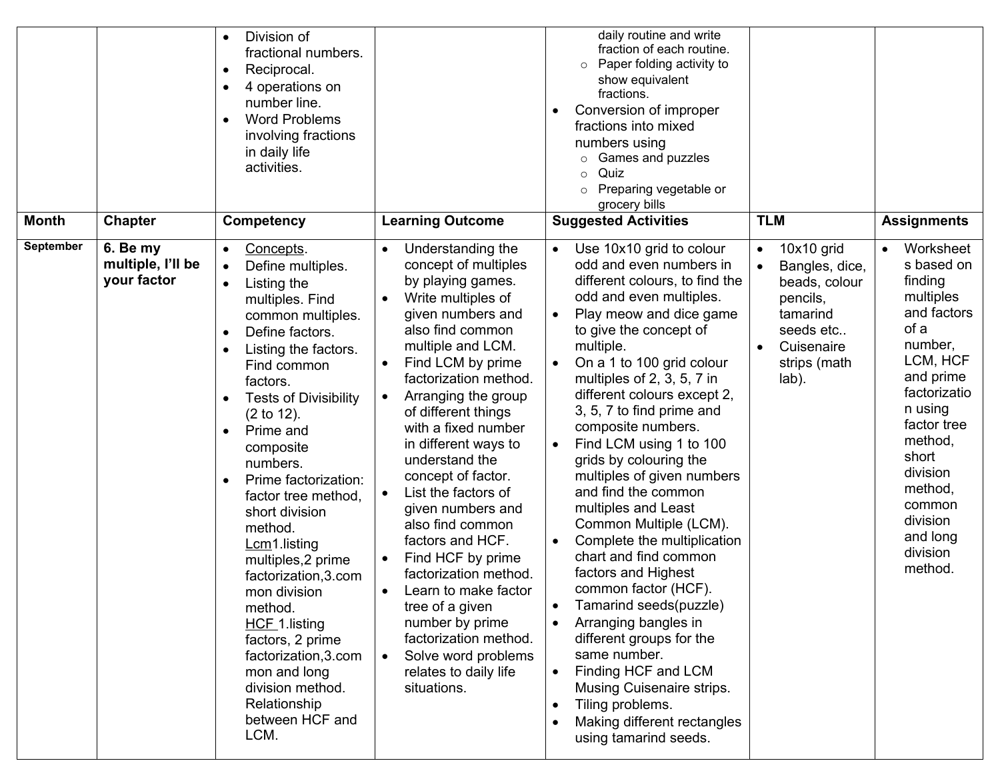|                           |                                                                | Division of<br>$\bullet$<br>fractional numbers.<br>Reciprocal.<br>4 operations on<br>number line.<br><b>Word Problems</b><br>involving fractions<br>in daily life<br>activities.                                                                                                                                                                                                                                                                                                                                                                                                                                                 |                                                                                                                                                                                                                                                                                                                                                                                                                                                                                                                                                                                                                                                                                                                                        | daily routine and write<br>fraction of each routine.<br>Paper folding activity to<br>$\circ$<br>show equivalent<br>fractions.<br>Conversion of improper<br>٠<br>fractions into mixed<br>numbers using<br>Games and puzzles<br>$\circ$<br>Quiz<br>Preparing vegetable or<br>$\circ$<br>grocery bills                                                                                                                                                                                                                                                                                                                                                                                                                                                                                                                                                                                                   |                                                                                                                                                                     |                                                                                                                                                                                                                                                                                             |
|---------------------------|----------------------------------------------------------------|----------------------------------------------------------------------------------------------------------------------------------------------------------------------------------------------------------------------------------------------------------------------------------------------------------------------------------------------------------------------------------------------------------------------------------------------------------------------------------------------------------------------------------------------------------------------------------------------------------------------------------|----------------------------------------------------------------------------------------------------------------------------------------------------------------------------------------------------------------------------------------------------------------------------------------------------------------------------------------------------------------------------------------------------------------------------------------------------------------------------------------------------------------------------------------------------------------------------------------------------------------------------------------------------------------------------------------------------------------------------------------|-------------------------------------------------------------------------------------------------------------------------------------------------------------------------------------------------------------------------------------------------------------------------------------------------------------------------------------------------------------------------------------------------------------------------------------------------------------------------------------------------------------------------------------------------------------------------------------------------------------------------------------------------------------------------------------------------------------------------------------------------------------------------------------------------------------------------------------------------------------------------------------------------------|---------------------------------------------------------------------------------------------------------------------------------------------------------------------|---------------------------------------------------------------------------------------------------------------------------------------------------------------------------------------------------------------------------------------------------------------------------------------------|
| <b>Month</b><br>September | <b>Chapter</b><br>6. Be my<br>multiple, I'll be<br>your factor | <b>Competency</b><br>Concepts.<br>$\bullet$<br>Define multiples.<br>Listing the<br>$\bullet$<br>multiples. Find<br>common multiples.<br>Define factors.<br>$\bullet$<br>Listing the factors.<br>Find common<br>factors.<br><b>Tests of Divisibility</b><br>(2 to 12).<br>Prime and<br>composite<br>numbers.<br>Prime factorization:<br>factor tree method,<br>short division<br>method.<br>$Lcm1$ . listing<br>multiples, 2 prime<br>factorization, 3.com<br>mon division<br>method.<br>HCF 1.listing<br>factors, 2 prime<br>factorization, 3.com<br>mon and long<br>division method.<br>Relationship<br>between HCF and<br>LCM. | <b>Learning Outcome</b><br>Understanding the<br>$\bullet$<br>concept of multiples<br>by playing games.<br>Write multiples of<br>given numbers and<br>also find common<br>multiple and LCM.<br>Find LCM by prime<br>$\bullet$<br>factorization method.<br>Arranging the group<br>$\bullet$<br>of different things<br>with a fixed number<br>in different ways to<br>understand the<br>concept of factor.<br>List the factors of<br>$\bullet$<br>given numbers and<br>also find common<br>factors and HCF.<br>Find HCF by prime<br>$\bullet$<br>factorization method.<br>Learn to make factor<br>tree of a given<br>number by prime<br>factorization method.<br>Solve word problems<br>$\bullet$<br>relates to daily life<br>situations. | <b>Suggested Activities</b><br>Use 10x10 grid to colour<br>$\bullet$<br>odd and even numbers in<br>different colours, to find the<br>odd and even multiples.<br>Play meow and dice game<br>to give the concept of<br>multiple.<br>On a 1 to 100 grid colour<br>multiples of 2, 3, 5, 7 in<br>different colours except 2,<br>3, 5, 7 to find prime and<br>composite numbers.<br>Find LCM using 1 to 100<br>grids by colouring the<br>multiples of given numbers<br>and find the common<br>multiples and Least<br>Common Multiple (LCM).<br>Complete the multiplication<br>chart and find common<br>factors and Highest<br>common factor (HCF).<br>Tamarind seeds(puzzle)<br>$\bullet$<br>Arranging bangles in<br>different groups for the<br>same number.<br>Finding HCF and LCM<br>Musing Cuisenaire strips.<br>Tiling problems.<br>$\bullet$<br>Making different rectangles<br>using tamarind seeds. | <b>TLM</b><br>$10x10$ grid<br>$\bullet$<br>Bangles, dice,<br>beads, colour<br>pencils,<br>tamarind<br>seeds etc<br>Cuisenaire<br>$\bullet$<br>strips (math<br>lab). | <b>Assignments</b><br>Worksheet<br>$\bullet$<br>s based on<br>finding<br>multiples<br>and factors<br>of a<br>number,<br>LCM, HCF<br>and prime<br>factorizatio<br>n using<br>factor tree<br>method,<br>short<br>division<br>method,<br>common<br>division<br>and long<br>division<br>method. |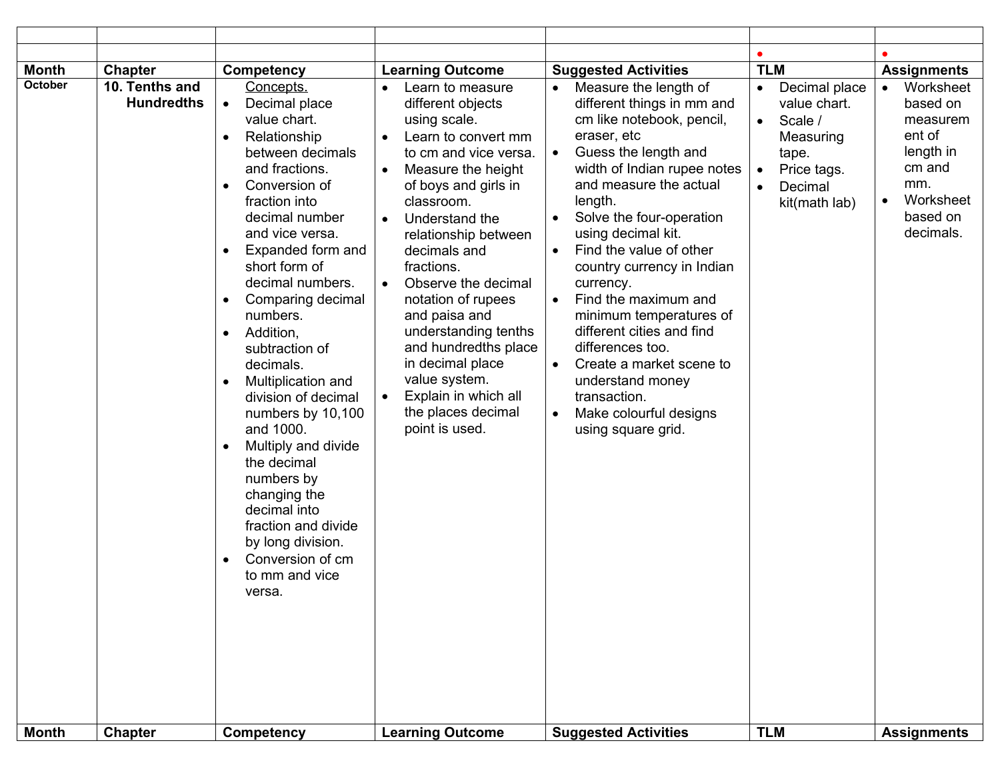| <b>Month</b>                   | <b>Chapter</b>                                        | <b>Competency</b>                                                                                                                                                                                                                                                                                                                                                                                                                                                                                                                                                                                                                                      | <b>Learning Outcome</b>                                                                                                                                                                                                                                                                                                                                                                                                                                                                                                                                  | <b>Suggested Activities</b>                                                                                                                                                                                                                                                                                                                                                                                                                                                                                                                                                         | <b>TLM</b>                                                                                                                                                                  | <b>Assignments</b>                                                                                              |
|--------------------------------|-------------------------------------------------------|--------------------------------------------------------------------------------------------------------------------------------------------------------------------------------------------------------------------------------------------------------------------------------------------------------------------------------------------------------------------------------------------------------------------------------------------------------------------------------------------------------------------------------------------------------------------------------------------------------------------------------------------------------|----------------------------------------------------------------------------------------------------------------------------------------------------------------------------------------------------------------------------------------------------------------------------------------------------------------------------------------------------------------------------------------------------------------------------------------------------------------------------------------------------------------------------------------------------------|-------------------------------------------------------------------------------------------------------------------------------------------------------------------------------------------------------------------------------------------------------------------------------------------------------------------------------------------------------------------------------------------------------------------------------------------------------------------------------------------------------------------------------------------------------------------------------------|-----------------------------------------------------------------------------------------------------------------------------------------------------------------------------|-----------------------------------------------------------------------------------------------------------------|
| <b>October</b><br><b>Month</b> | 10. Tenths and<br><b>Hundredths</b><br><b>Chapter</b> | Concepts.<br>Decimal place<br>$\bullet$<br>value chart.<br>Relationship<br>$\bullet$<br>between decimals<br>and fractions.<br>Conversion of<br>$\bullet$<br>fraction into<br>decimal number<br>and vice versa.<br>Expanded form and<br>short form of<br>decimal numbers.<br>Comparing decimal<br>numbers.<br>Addition.<br>$\bullet$<br>subtraction of<br>decimals.<br>Multiplication and<br>division of decimal<br>numbers by 10,100<br>and 1000.<br>Multiply and divide<br>the decimal<br>numbers by<br>changing the<br>decimal into<br>fraction and divide<br>by long division.<br>Conversion of cm<br>to mm and vice<br>versa.<br><b>Competency</b> | Learn to measure<br>different objects<br>using scale.<br>Learn to convert mm<br>$\bullet$<br>to cm and vice versa.<br>Measure the height<br>$\bullet$<br>of boys and girls in<br>classroom.<br>Understand the<br>$\bullet$<br>relationship between<br>decimals and<br>fractions.<br>Observe the decimal<br>$\bullet$<br>notation of rupees<br>and paisa and<br>understanding tenths<br>and hundredths place<br>in decimal place<br>value system.<br>Explain in which all<br>$\bullet$<br>the places decimal<br>point is used.<br><b>Learning Outcome</b> | Measure the length of<br>different things in mm and<br>cm like notebook, pencil,<br>eraser, etc<br>Guess the length and<br>width of Indian rupee notes<br>and measure the actual<br>length.<br>Solve the four-operation<br>using decimal kit.<br>Find the value of other<br>country currency in Indian<br>currency.<br>Find the maximum and<br>minimum temperatures of<br>different cities and find<br>differences too.<br>Create a market scene to<br>$\bullet$<br>understand money<br>transaction.<br>Make colourful designs<br>using square grid.<br><b>Suggested Activities</b> | Decimal place<br>$\bullet$<br>value chart.<br>Scale /<br>$\bullet$<br>Measuring<br>tape.<br>Price tags.<br>$\bullet$<br>Decimal<br>$\bullet$<br>kit(math lab)<br><b>TLM</b> | Worksheet<br>based on<br>measurem<br>ent of<br>length in<br>cm and<br>mm.<br>Worksheet<br>based on<br>decimals. |
|                                |                                                       |                                                                                                                                                                                                                                                                                                                                                                                                                                                                                                                                                                                                                                                        |                                                                                                                                                                                                                                                                                                                                                                                                                                                                                                                                                          |                                                                                                                                                                                                                                                                                                                                                                                                                                                                                                                                                                                     |                                                                                                                                                                             | <b>Assignments</b>                                                                                              |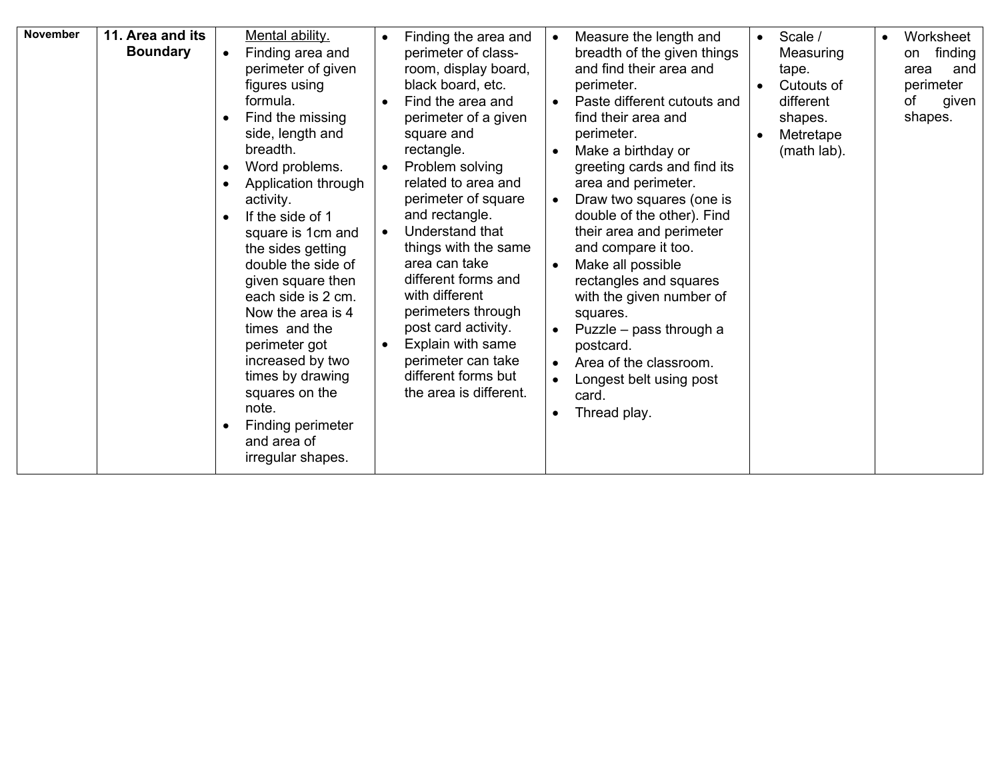| <b>November</b> | 11. Area and its<br><b>Boundary</b> | Mental ability.<br>Finding area and<br>perimeter of given<br>figures using<br>formula.<br>Find the missing<br>$\bullet$<br>side, length and<br>breadth.<br>Word problems.<br>$\bullet$<br>Application through<br>$\bullet$<br>activity.<br>If the side of 1<br>$\bullet$<br>square is 1cm and<br>the sides getting<br>double the side of<br>given square then<br>each side is 2 cm.<br>Now the area is 4<br>times and the<br>perimeter got<br>increased by two<br>times by drawing<br>squares on the<br>note.<br>Finding perimeter<br>and area of<br>irregular shapes. | Finding the area and<br>perimeter of class-<br>room, display board,<br>black board, etc.<br>Find the area and<br>perimeter of a given<br>square and<br>rectangle.<br>Problem solving<br>$\bullet$<br>related to area and<br>perimeter of square<br>and rectangle.<br>Understand that<br>$\bullet$<br>things with the same<br>area can take<br>different forms and<br>with different<br>perimeters through<br>post card activity.<br>Explain with same<br>perimeter can take<br>different forms but<br>the area is different. | Measure the length and<br>$\bullet$<br>breadth of the given things<br>and find their area and<br>perimeter.<br>Paste different cutouts and<br>$\bullet$<br>find their area and<br>perimeter.<br>Make a birthday or<br>greeting cards and find its<br>area and perimeter.<br>Draw two squares (one is<br>double of the other). Find<br>their area and perimeter<br>and compare it too.<br>Make all possible<br>rectangles and squares<br>with the given number of<br>squares.<br>Puzzle – pass through a<br>postcard.<br>Area of the classroom.<br>Longest belt using post<br>card.<br>Thread play.<br>$\bullet$ | Scale /<br>$\bullet$<br>Measuring<br>tape.<br>Cutouts of<br>different<br>shapes.<br>Metretape<br>(math lab). | Worksheet<br>finding<br>on<br>area<br>and<br>perimeter<br>οf<br>given<br>shapes. |
|-----------------|-------------------------------------|------------------------------------------------------------------------------------------------------------------------------------------------------------------------------------------------------------------------------------------------------------------------------------------------------------------------------------------------------------------------------------------------------------------------------------------------------------------------------------------------------------------------------------------------------------------------|------------------------------------------------------------------------------------------------------------------------------------------------------------------------------------------------------------------------------------------------------------------------------------------------------------------------------------------------------------------------------------------------------------------------------------------------------------------------------------------------------------------------------|-----------------------------------------------------------------------------------------------------------------------------------------------------------------------------------------------------------------------------------------------------------------------------------------------------------------------------------------------------------------------------------------------------------------------------------------------------------------------------------------------------------------------------------------------------------------------------------------------------------------|--------------------------------------------------------------------------------------------------------------|----------------------------------------------------------------------------------|
|-----------------|-------------------------------------|------------------------------------------------------------------------------------------------------------------------------------------------------------------------------------------------------------------------------------------------------------------------------------------------------------------------------------------------------------------------------------------------------------------------------------------------------------------------------------------------------------------------------------------------------------------------|------------------------------------------------------------------------------------------------------------------------------------------------------------------------------------------------------------------------------------------------------------------------------------------------------------------------------------------------------------------------------------------------------------------------------------------------------------------------------------------------------------------------------|-----------------------------------------------------------------------------------------------------------------------------------------------------------------------------------------------------------------------------------------------------------------------------------------------------------------------------------------------------------------------------------------------------------------------------------------------------------------------------------------------------------------------------------------------------------------------------------------------------------------|--------------------------------------------------------------------------------------------------------------|----------------------------------------------------------------------------------|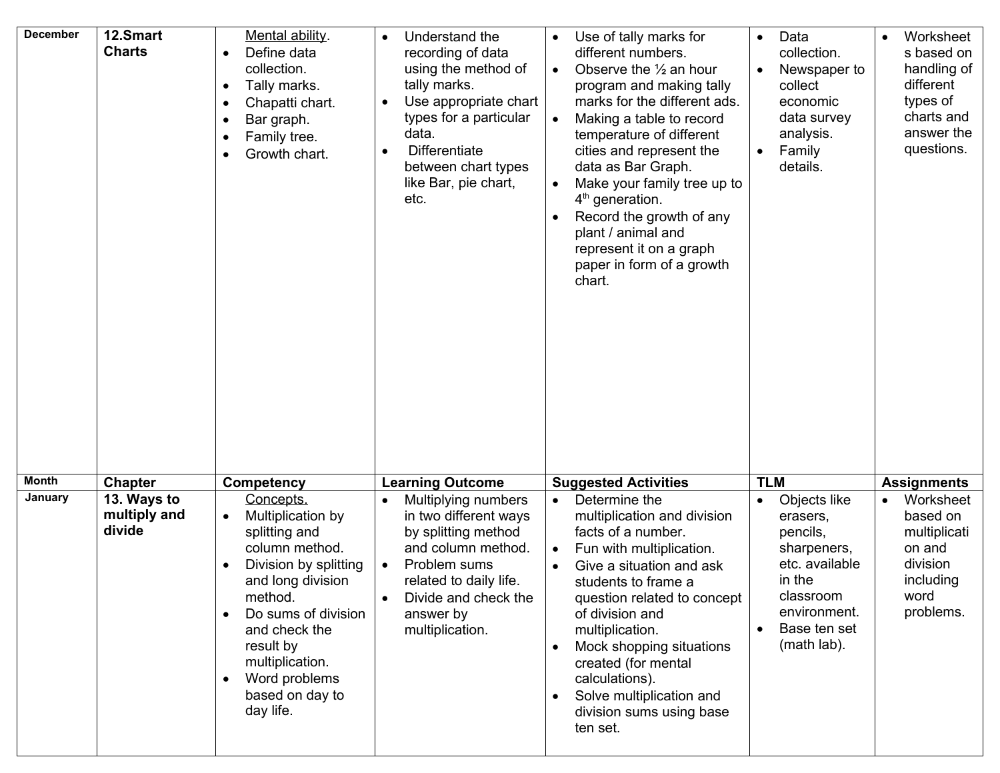| <b>December</b> | 12.Smart<br><b>Charts</b>             | Mental ability.<br>Define data<br>$\bullet$<br>collection.<br>Tally marks.<br>$\bullet$<br>Chapatti chart.<br>$\bullet$<br>Bar graph.<br>$\bullet$<br>Family tree.<br>Growth chart.<br>$\bullet$                                                                 | Understand the<br>$\bullet$<br>recording of data<br>using the method of<br>tally marks.<br>Use appropriate chart<br>$\bullet$<br>types for a particular<br>data.<br>Differentiate<br>$\bullet$<br>between chart types<br>like Bar, pie chart,<br>etc. | Use of tally marks for<br>different numbers.<br>Observe the $\frac{1}{2}$ an hour<br>$\bullet$<br>program and making tally<br>marks for the different ads.<br>Making a table to record<br>temperature of different<br>cities and represent the<br>data as Bar Graph.<br>Make your family tree up to<br>$4th$ generation.<br>Record the growth of any<br>plant / animal and<br>represent it on a graph<br>paper in form of a growth<br>chart. | Data<br>$\bullet$<br>collection.<br>Newspaper to<br>collect<br>economic<br>data survey<br>analysis.<br>Family<br>details.                   | Worksheet<br>$\bullet$<br>s based on<br>handling of<br>different<br>types of<br>charts and<br>answer the<br>questions. |
|-----------------|---------------------------------------|------------------------------------------------------------------------------------------------------------------------------------------------------------------------------------------------------------------------------------------------------------------|-------------------------------------------------------------------------------------------------------------------------------------------------------------------------------------------------------------------------------------------------------|----------------------------------------------------------------------------------------------------------------------------------------------------------------------------------------------------------------------------------------------------------------------------------------------------------------------------------------------------------------------------------------------------------------------------------------------|---------------------------------------------------------------------------------------------------------------------------------------------|------------------------------------------------------------------------------------------------------------------------|
| <b>Month</b>    | <b>Chapter</b>                        | Competency                                                                                                                                                                                                                                                       | <b>Learning Outcome</b>                                                                                                                                                                                                                               | <b>Suggested Activities</b>                                                                                                                                                                                                                                                                                                                                                                                                                  | <b>TLM</b>                                                                                                                                  | <b>Assignments</b>                                                                                                     |
| January         | 13. Ways to<br>multiply and<br>divide | Concepts.<br>Multiplication by<br>$\bullet$<br>splitting and<br>column method.<br>Division by splitting<br>and long division<br>method.<br>Do sums of division<br>and check the<br>result by<br>multiplication.<br>Word problems<br>based on day to<br>day life. | Multiplying numbers<br>in two different ways<br>by splitting method<br>and column method.<br>Problem sums<br>$\bullet$<br>related to daily life.<br>Divide and check the<br>answer by<br>multiplication.                                              | Determine the<br>multiplication and division<br>facts of a number.<br>Fun with multiplication.<br>$\bullet$<br>Give a situation and ask<br>students to frame a<br>question related to concept<br>of division and<br>multiplication.<br>Mock shopping situations<br>created (for mental<br>calculations).<br>Solve multiplication and<br>division sums using base<br>ten set.                                                                 | Objects like<br>erasers,<br>pencils,<br>sharpeners,<br>etc. available<br>in the<br>classroom<br>environment.<br>Base ten set<br>(math lab). | Worksheet<br>based on<br>multiplicati<br>on and<br>division<br>including<br>word<br>problems.                          |